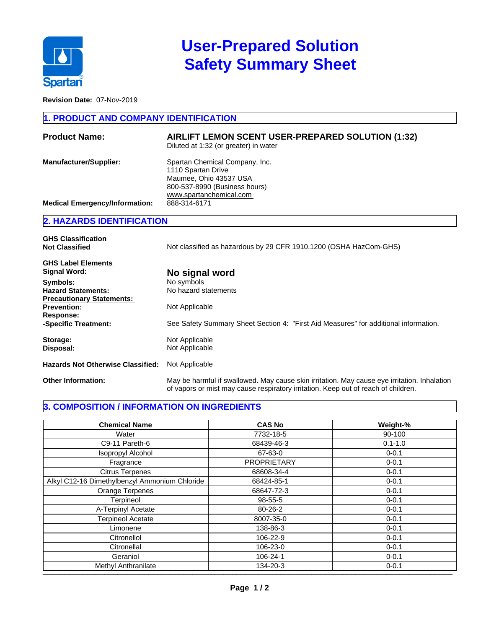

# **User-Prepared Solution Safety Summary Sheet**

**Revision Date:** 07-Nov-2019

### **1. PRODUCT AND COMPANY IDENTIFICATION**

| <b>Product Name:</b>                  | AIRLIFT LEMON SCENT USER-PREPARED SOLUTION (1:32)<br>Diluted at 1:32 (or greater) in water                                                 |
|---------------------------------------|--------------------------------------------------------------------------------------------------------------------------------------------|
| <b>Manufacturer/Supplier:</b>         | Spartan Chemical Company, Inc.<br>1110 Spartan Drive<br>Maumee, Ohio 43537 USA<br>800-537-8990 (Business hours)<br>www.spartanchemical.com |
| <b>Medical Emergency/Information:</b> | 888-314-6171                                                                                                                               |

### **2. HAZARDS IDENTIFICATION**

| <b>GHS Classification</b><br><b>Not Classified</b> | Not classified as hazardous by 29 CFR 1910.1200 (OSHA HazCom-GHS)                                                                                                                  |  |
|----------------------------------------------------|------------------------------------------------------------------------------------------------------------------------------------------------------------------------------------|--|
| <b>GHS Label Elements</b>                          |                                                                                                                                                                                    |  |
| <b>Signal Word:</b>                                | No signal word                                                                                                                                                                     |  |
| Symbols:                                           | No symbols                                                                                                                                                                         |  |
| <b>Hazard Statements:</b>                          | No hazard statements                                                                                                                                                               |  |
| <b>Precautionary Statements:</b>                   |                                                                                                                                                                                    |  |
| <b>Prevention:</b>                                 | Not Applicable                                                                                                                                                                     |  |
| Response:                                          |                                                                                                                                                                                    |  |
| -Specific Treatment:                               | See Safety Summary Sheet Section 4: "First Aid Measures" for additional information.                                                                                               |  |
| Storage:                                           | Not Applicable                                                                                                                                                                     |  |
| Disposal:                                          | Not Applicable                                                                                                                                                                     |  |
| <b>Hazards Not Otherwise Classified:</b>           | Not Applicable                                                                                                                                                                     |  |
| <b>Other Information:</b>                          | May be harmful if swallowed. May cause skin irritation. May cause eye irritation. Inhalation<br>of vapors or mist may cause respiratory irritation. Keep out of reach of children. |  |

## **3. COMPOSITION / INFORMATION ON INGREDIENTS**

| <b>Chemical Name</b>                          | <b>CAS No</b>      | Weight-%    |
|-----------------------------------------------|--------------------|-------------|
| Water                                         | 7732-18-5          | 90-100      |
| C9-11 Pareth-6                                | 68439-46-3         | $0.1 - 1.0$ |
| Isopropyl Alcohol                             | 67-63-0            | $0 - 0.1$   |
| Fragrance                                     | <b>PROPRIETARY</b> | $0 - 0.1$   |
| <b>Citrus Terpenes</b>                        | 68608-34-4         | $0 - 0.1$   |
| Alkyl C12-16 Dimethylbenzyl Ammonium Chloride | 68424-85-1         | $0 - 0.1$   |
| Orange Terpenes                               | 68647-72-3         | $0 - 0.1$   |
| Terpineol                                     | 98-55-5            | $0 - 0.1$   |
| A-Terpinyl Acetate                            | 80-26-2            | $0 - 0.1$   |
| <b>Terpineol Acetate</b>                      | 8007-35-0          | $0 - 0.1$   |
| Limonene                                      | 138-86-3           | $0 - 0.1$   |
| Citronellol                                   | 106-22-9           | $0 - 0.1$   |
| Citronellal                                   | 106-23-0           | $0 - 0.1$   |
| Geraniol                                      | 106-24-1           | $0 - 0.1$   |
| Methyl Anthranilate                           | 134-20-3           | $0 - 0.1$   |